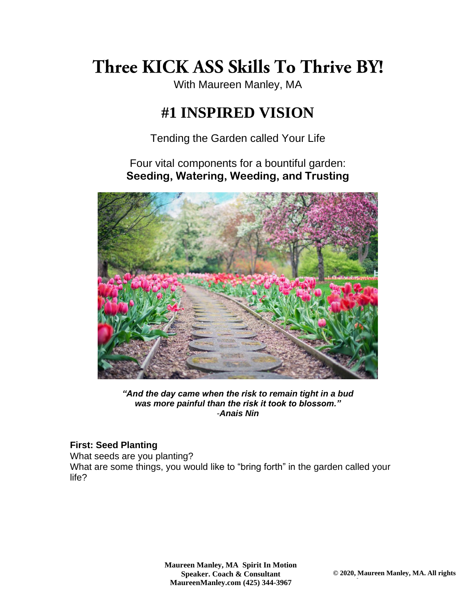# Three KICK ASS Skills To Thrive BY!

With Maureen Manley, MA

## **#1 INSPIRED VISION**

Tending the Garden called Your Life

Four vital components for a bountiful garden: **Seeding, Watering, Weeding, and Trusting**



*"And the day came when the risk to remain tight in a bud was more painful than the risk it took to blossom." -[Anais Nin](http://www.brainyquote.com/quotes/quotes/a/anaisnin120256.html)*

#### **First: Seed Planting**

What seeds are you planting? What are some things, you would like to "bring forth" in the garden called your life?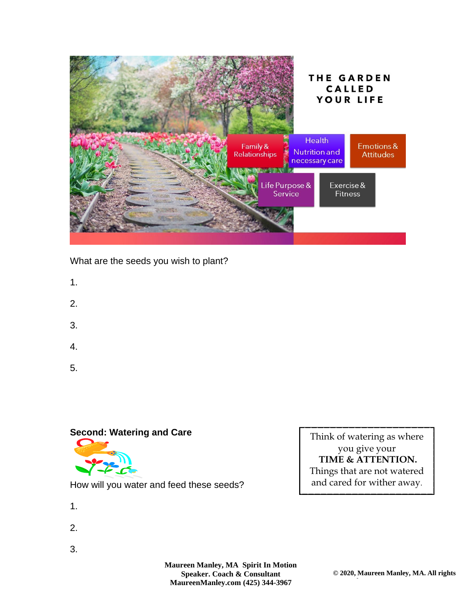

What are the seeds you wish to plant?

- 1.
- 
- 2.
- 3.
- 4.
- 5.

#### **Second: Watering and Care**



How will you water and feed these seeds?

- 1.
- 2.
- 3.

**Maureen Manley, MA Spirit In Motion Speaker. Coach & Consultant [MaureenManley.com](http://www.maureenmanley.com/) (425) 344-3967**

Think of watering as where you give your **TIME & ATTENTION.**  Things that are not watered and cared for wither away.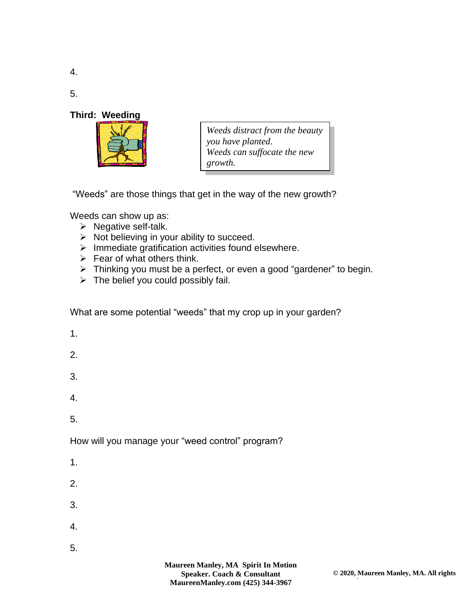4.

5.

#### **Third: Weeding**



*Weeds distract from the beauty you have planted. Weeds can suffocate the new growth.*

"Weeds" are those things that get in the way of the new growth?

Weeds can show up as:

- ➢ Negative self-talk.
- $\triangleright$  Not believing in your ability to succeed.
- ➢ Immediate gratification activities found elsewhere.
- $\triangleright$  Fear of what others think.
- ➢ Thinking you must be a perfect, or even a good "gardener" to begin.
- $\triangleright$  The belief you could possibly fail.

What are some potential "weeds" that my crop up in your garden?

- 1.
- 
- 2.
- 3.
- 4.
- 5.

How will you manage your "weed control" program?

- 1.
- 2.
- 3.
- 4.
- 5.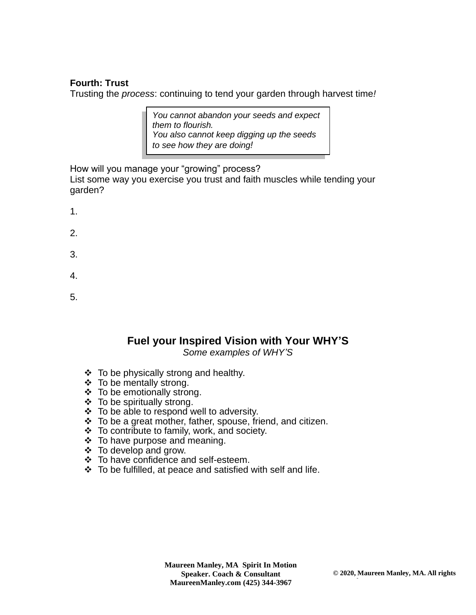#### **Fourth: Trust**

Trusting the *process*: continuing to tend your garden through harvest time*!*

*You cannot abandon your seeds and expect them to flourish. You also cannot keep digging up the seeds to see how they are doing!*

How will you manage your "growing" process? List some way you exercise you trust and faith muscles while tending your garden?

- 1.
- 2.
- 3.
- 4.
- 5.

### **Fuel your Inspired Vision with Your WHY'S**

*Some examples of WHY'S*

- ❖ To be physically strong and healthy.
- ❖ To be mentally strong.
- ❖ To be emotionally strong.
- ❖ To be spiritually strong.
- ❖ To be able to respond well to adversity.
- ❖ To be a great mother, father, spouse, friend, and citizen.
- ❖ To contribute to family, work, and society.
- ❖ To have purpose and meaning.
- ❖ To develop and grow.
- ❖ To have confidence and self-esteem.
- ❖ To be fulfilled, at peace and satisfied with self and life.